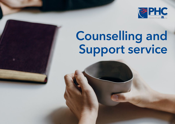

# Counselling and Support service